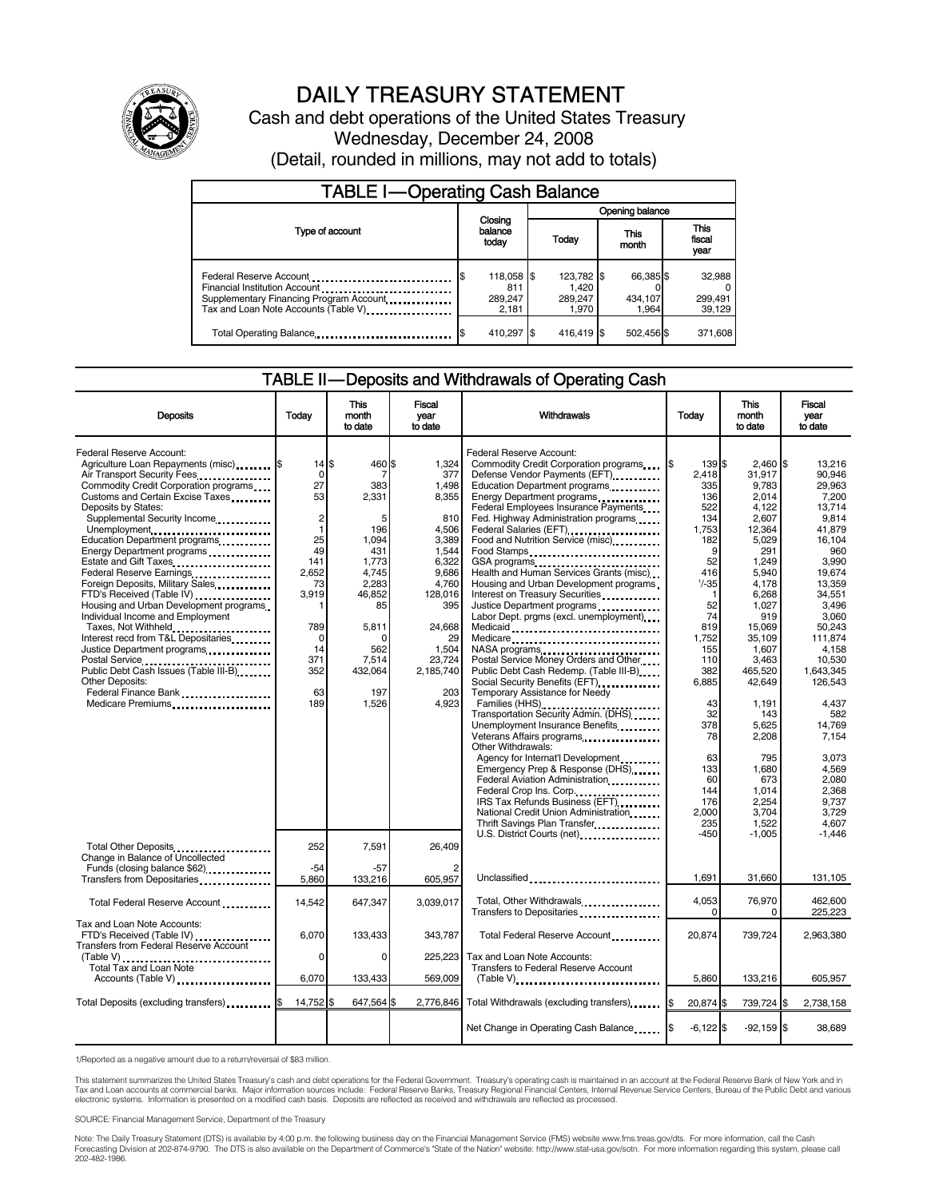

# DAILY TREASURY STATEMENT

Cash and debt operations of the United States Treasury Wednesday, December 24, 2008 (Detail, rounded in millions, may not add to totals)

| <b>TABLE I-Operating Cash Balance</b>                                                               |  |                                       |  |                                         |               |                               |  |                             |
|-----------------------------------------------------------------------------------------------------|--|---------------------------------------|--|-----------------------------------------|---------------|-------------------------------|--|-----------------------------|
|                                                                                                     |  |                                       |  | Opening balance                         |               |                               |  |                             |
| Type of account                                                                                     |  | Closing<br>balance<br>today           |  | Today                                   | This<br>month |                               |  | This<br>fiscal<br>year      |
| Federal Reserve Account<br>Financial Institution Account<br>Supplementary Financing Program Account |  | 118,058 \$<br>811<br>289,247<br>2.181 |  | 123,782 \$<br>1.420<br>289.247<br>1.970 |               | 66,385 \$<br>434,107<br>1.964 |  | 32,988<br>299,491<br>39,129 |
| Total Operating Balance                                                                             |  | 410,297                               |  | 416,419 \$                              |               | 502,456 \$                    |  | 371,608                     |

#### TABLE II — Deposits and Withdrawals of Operating Cash

| <b>Deposits</b>                                                                                                                                                                                                                                                                                                                                                                                                                                                                                                                                                                                                                                                                                                                      | Todav                                                                                                                                                                           | This<br>month<br>to date                                                                                                                                           | Fiscal<br>vear<br>to date                                                                                                                                                     | Withdrawals                                                                                                                                                                                                                                                                                                                                                                                                                                                                                                                                                                                                                                                                                                                                                                                                                                                                                                                                                                                                                                                         | Today                                                                                                                                                                                                                                | <b>This</b><br>month<br>to date                                                                                                                                                                                                                                                                | Fiscal<br>vear<br>to date                                                                                                                                                                                                                                                                                    |
|--------------------------------------------------------------------------------------------------------------------------------------------------------------------------------------------------------------------------------------------------------------------------------------------------------------------------------------------------------------------------------------------------------------------------------------------------------------------------------------------------------------------------------------------------------------------------------------------------------------------------------------------------------------------------------------------------------------------------------------|---------------------------------------------------------------------------------------------------------------------------------------------------------------------------------|--------------------------------------------------------------------------------------------------------------------------------------------------------------------|-------------------------------------------------------------------------------------------------------------------------------------------------------------------------------|---------------------------------------------------------------------------------------------------------------------------------------------------------------------------------------------------------------------------------------------------------------------------------------------------------------------------------------------------------------------------------------------------------------------------------------------------------------------------------------------------------------------------------------------------------------------------------------------------------------------------------------------------------------------------------------------------------------------------------------------------------------------------------------------------------------------------------------------------------------------------------------------------------------------------------------------------------------------------------------------------------------------------------------------------------------------|--------------------------------------------------------------------------------------------------------------------------------------------------------------------------------------------------------------------------------------|------------------------------------------------------------------------------------------------------------------------------------------------------------------------------------------------------------------------------------------------------------------------------------------------|--------------------------------------------------------------------------------------------------------------------------------------------------------------------------------------------------------------------------------------------------------------------------------------------------------------|
| Federal Reserve Account:<br>Agriculture Loan Repayments (misc) \$<br>Air Transport Security Fees<br>Commodity Credit Corporation programs<br>Customs and Certain Excise Taxes<br>Deposits by States:<br>Supplemental Security Income<br>Unemployment<br>Education Department programs<br>Energy Department programs<br>Estate and Gift Taxes<br>Federal Reserve Earnings<br>Foreign Deposits, Military Sales<br>FTD's Received (Table IV)<br>Housing and Urban Development programs<br>Individual Income and Employment<br>Taxes, Not Withheld<br>Interest recd from T&L Depositaries<br>Justice Department programs<br>Public Debt Cash Issues (Table III-B)<br><b>Other Deposits:</b><br>Federal Finance Bank<br>Medicare Premiums | $14$ $$$<br>$\Omega$<br>27<br>53<br>$\overline{\mathbf{c}}$<br>$\mathbf{1}$<br>25<br>49<br>141<br>2,652<br>73<br>3.919<br>1<br>789<br>$\Omega$<br>14<br>371<br>352<br>63<br>189 | 460 \$<br>7<br>383<br>2,331<br>5<br>196<br>1,094<br>431<br>1,773<br>4,745<br>2,283<br>46.852<br>85<br>5,811<br>$\Omega$<br>562<br>7,514<br>432,064<br>197<br>1,526 | 1,324<br>377<br>1,498<br>8,355<br>810<br>4,506<br>3.389<br>1.544<br>6,322<br>9.686<br>4,760<br>128.016<br>395<br>24,668<br>29<br>1,504<br>23,724<br>2,185,740<br>203<br>4,923 | Federal Reserve Account:<br>Commodity Credit Corporation programs<br>Defense Vendor Payments (EFT)<br>Education Department programs<br>Energy Department programs<br>Federal Employees Insurance Payments<br>Fed. Highway Administration programs<br>Federal Salaries (EFT)<br>Food and Nutrition Service (misc)<br>Food Stamps<br>Health and Human Services Grants (misc)<br>Housing and Urban Development programs<br>Interest on Treasury Securities<br>Justice Department programs<br>Labor Dept. prgms (excl. unemployment)<br>Medicaid<br>Medicare<br>NASA programs<br>Postal Service Money Orders and Other<br>Public Debt Cash Redemp. (Table III-B)<br>Temporary Assistance for Needy<br>Families (HHS)<br>Transportation Security Admin. (DHS)<br>Unemployment Insurance Benefits<br>Other Withdrawals:<br>Agency for Internat'l Development.<br>Emergency Prep & Response (DHS)<br>Federal Aviation Administration<br>Federal Crop Ins. Corp.<br>IRS Tax Refunds Business (EFT)<br>National Credit Union Administration.<br>Thrift Savings Plan Transfer | 139 \$<br>2.418<br>335<br>136<br>522<br>134<br>1,753<br>182<br>9<br>52<br>416<br>$1/ - 35$<br>-1<br>52<br>74<br>819<br>1.752<br>155<br>110<br>382<br>6,885<br>43<br>32<br>378<br>78<br>63<br>133<br>60<br>144<br>176<br>2,000<br>235 | $2.460$ \$<br>31.917<br>9,783<br>2.014<br>4,122<br>2,607<br>12.364<br>5,029<br>291<br>1,249<br>5,940<br>4.178<br>6,268<br>1,027<br>919<br>15,069<br>35.109<br>1,607<br>3,463<br>465,520<br>42.649<br>1.191<br>143<br>5,625<br>2,208<br>795<br>1.680<br>673<br>1.014<br>2.254<br>3,704<br>1,522 | 13.216<br>90.946<br>29.963<br>7.200<br>13.714<br>9.814<br>41.879<br>16.104<br>960<br>3,990<br>19.674<br>13.359<br>34.551<br>3,496<br>3.060<br>50.243<br>111.874<br>4.158<br>10.530<br>1.643.345<br>126.543<br>4.437<br>582<br>14,769<br>7.154<br>3,073<br>4,569<br>2.080<br>2.368<br>9.737<br>3,729<br>4.607 |
| Total Other Deposits<br>Change in Balance of Uncollected<br>Funds (closing balance \$62).                                                                                                                                                                                                                                                                                                                                                                                                                                                                                                                                                                                                                                            | 252<br>$-54$                                                                                                                                                                    | 7.591<br>-57                                                                                                                                                       | 26.409                                                                                                                                                                        |                                                                                                                                                                                                                                                                                                                                                                                                                                                                                                                                                                                                                                                                                                                                                                                                                                                                                                                                                                                                                                                                     | $-450$<br>1.691                                                                                                                                                                                                                      | $-1,005$                                                                                                                                                                                                                                                                                       | $-1.446$                                                                                                                                                                                                                                                                                                     |
| Transfers from Depositaries<br>Total Federal Reserve Account                                                                                                                                                                                                                                                                                                                                                                                                                                                                                                                                                                                                                                                                         | 5,860<br>14,542                                                                                                                                                                 | 133,216<br>647,347                                                                                                                                                 | 605,957<br>3.039.017                                                                                                                                                          | Unclassified<br>Total, Other Withdrawals<br>Transfers to Depositaries                                                                                                                                                                                                                                                                                                                                                                                                                                                                                                                                                                                                                                                                                                                                                                                                                                                                                                                                                                                               | 4.053<br>0                                                                                                                                                                                                                           | 31,660<br>76,970<br>0                                                                                                                                                                                                                                                                          | 131,105<br>462.600<br>225,223                                                                                                                                                                                                                                                                                |
| Tax and Loan Note Accounts:<br>FTD's Received (Table IV)<br>Transfers from Federal Reserve Account<br>$(Table V)$<br>Total Tax and Loan Note                                                                                                                                                                                                                                                                                                                                                                                                                                                                                                                                                                                         | 6,070<br>0                                                                                                                                                                      | 133,433<br>$\Omega$                                                                                                                                                | 343,787<br>225.223                                                                                                                                                            | Total Federal Reserve Account<br>Tax and Loan Note Accounts:<br><b>Transfers to Federal Reserve Account</b>                                                                                                                                                                                                                                                                                                                                                                                                                                                                                                                                                                                                                                                                                                                                                                                                                                                                                                                                                         | 20,874                                                                                                                                                                                                                               | 739,724                                                                                                                                                                                                                                                                                        | 2,963,380                                                                                                                                                                                                                                                                                                    |
| Accounts (Table V)                                                                                                                                                                                                                                                                                                                                                                                                                                                                                                                                                                                                                                                                                                                   | 6,070                                                                                                                                                                           | 133,433                                                                                                                                                            | 569,009                                                                                                                                                                       | $(Table V)$                                                                                                                                                                                                                                                                                                                                                                                                                                                                                                                                                                                                                                                                                                                                                                                                                                                                                                                                                                                                                                                         | 5,860                                                                                                                                                                                                                                | 133,216                                                                                                                                                                                                                                                                                        | 605,957                                                                                                                                                                                                                                                                                                      |
| Total Deposits (excluding transfers)                                                                                                                                                                                                                                                                                                                                                                                                                                                                                                                                                                                                                                                                                                 | 14,752 \$                                                                                                                                                                       | 647,564 \$                                                                                                                                                         | 2,776,846                                                                                                                                                                     | Total Withdrawals (excluding transfers)                                                                                                                                                                                                                                                                                                                                                                                                                                                                                                                                                                                                                                                                                                                                                                                                                                                                                                                                                                                                                             | 20,874 \$                                                                                                                                                                                                                            | 739,724 \$                                                                                                                                                                                                                                                                                     | 2,738,158                                                                                                                                                                                                                                                                                                    |
|                                                                                                                                                                                                                                                                                                                                                                                                                                                                                                                                                                                                                                                                                                                                      |                                                                                                                                                                                 |                                                                                                                                                                    |                                                                                                                                                                               | Net Change in Operating Cash Balance                                                                                                                                                                                                                                                                                                                                                                                                                                                                                                                                                                                                                                                                                                                                                                                                                                                                                                                                                                                                                                | $-6.122$ \$                                                                                                                                                                                                                          | $-92.159$ \$                                                                                                                                                                                                                                                                                   | 38,689                                                                                                                                                                                                                                                                                                       |

1/Reported as a negative amount due to a return/reversal of \$83 million.

This statement summarizes the United States Treasury's cash and debt operations for the Federal Government. Treasury's operating cash is maintained in an account at the Federal Reserve Bank of New York and in<br>Tax and Loan

SOURCE: Financial Management Service, Department of the Treasury

Note: The Daily Treasury Statement (DTS) is available by 4:00 p.m. the following business day on the Financial Management Service (FMS) website www.fms.treas.gov/dts. For more information, call the Cash<br>Forecasting Divisio eas.gov/dts. F<br>For more infor